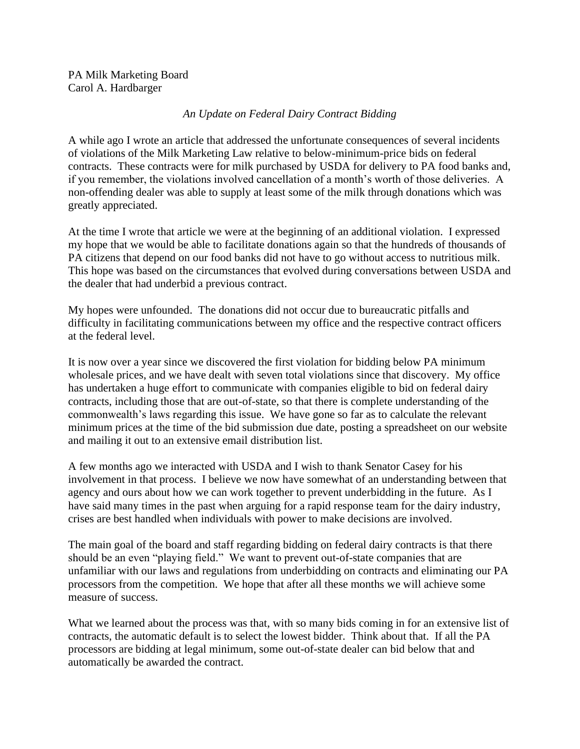PA Milk Marketing Board Carol A. Hardbarger

## *An Update on Federal Dairy Contract Bidding*

A while ago I wrote an article that addressed the unfortunate consequences of several incidents of violations of the Milk Marketing Law relative to below-minimum-price bids on federal contracts. These contracts were for milk purchased by USDA for delivery to PA food banks and, if you remember, the violations involved cancellation of a month's worth of those deliveries. A non-offending dealer was able to supply at least some of the milk through donations which was greatly appreciated.

At the time I wrote that article we were at the beginning of an additional violation. I expressed my hope that we would be able to facilitate donations again so that the hundreds of thousands of PA citizens that depend on our food banks did not have to go without access to nutritious milk. This hope was based on the circumstances that evolved during conversations between USDA and the dealer that had underbid a previous contract.

My hopes were unfounded. The donations did not occur due to bureaucratic pitfalls and difficulty in facilitating communications between my office and the respective contract officers at the federal level.

It is now over a year since we discovered the first violation for bidding below PA minimum wholesale prices, and we have dealt with seven total violations since that discovery. My office has undertaken a huge effort to communicate with companies eligible to bid on federal dairy contracts, including those that are out-of-state, so that there is complete understanding of the commonwealth's laws regarding this issue. We have gone so far as to calculate the relevant minimum prices at the time of the bid submission due date, posting a spreadsheet on our website and mailing it out to an extensive email distribution list.

A few months ago we interacted with USDA and I wish to thank Senator Casey for his involvement in that process. I believe we now have somewhat of an understanding between that agency and ours about how we can work together to prevent underbidding in the future. As I have said many times in the past when arguing for a rapid response team for the dairy industry, crises are best handled when individuals with power to make decisions are involved.

The main goal of the board and staff regarding bidding on federal dairy contracts is that there should be an even "playing field." We want to prevent out-of-state companies that are unfamiliar with our laws and regulations from underbidding on contracts and eliminating our PA processors from the competition. We hope that after all these months we will achieve some measure of success.

What we learned about the process was that, with so many bids coming in for an extensive list of contracts, the automatic default is to select the lowest bidder. Think about that. If all the PA processors are bidding at legal minimum, some out-of-state dealer can bid below that and automatically be awarded the contract.